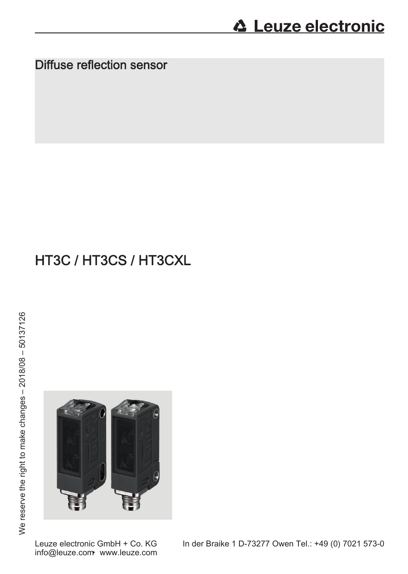Diffuse reflection sensor

# HT3C / HT3CS / HT3CXL

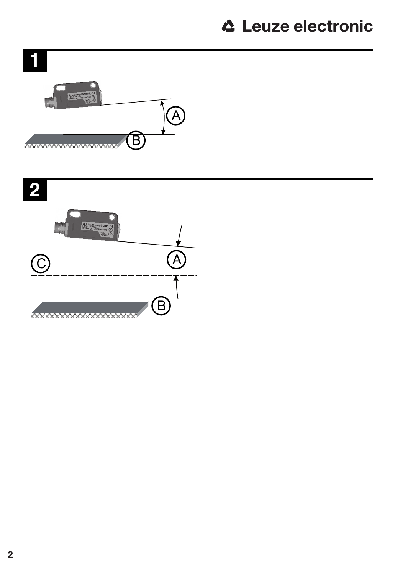ī